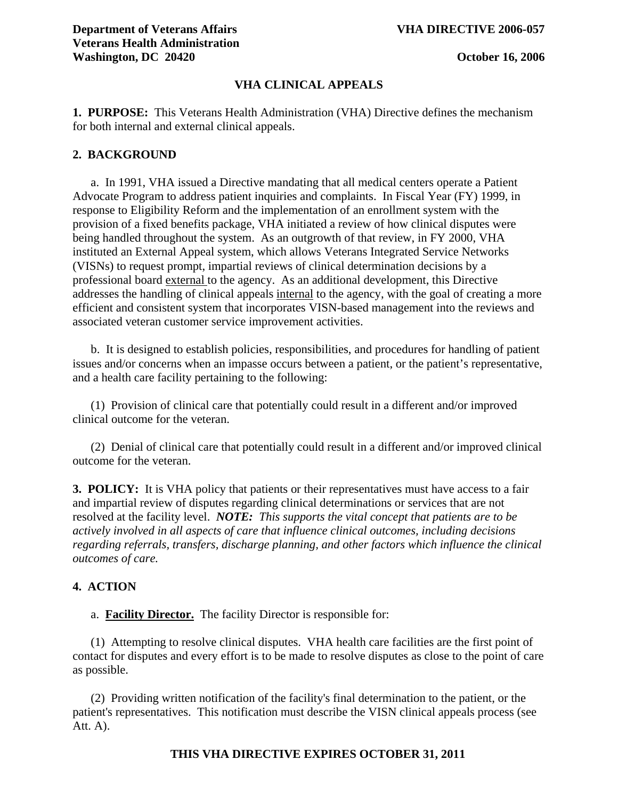### **VHA CLINICAL APPEALS**

**1. PURPOSE:** This Veterans Health Administration (VHA) Directive defines the mechanism for both internal and external clinical appeals.

#### **2. BACKGROUND**

 a. In 1991, VHA issued a Directive mandating that all medical centers operate a Patient Advocate Program to address patient inquiries and complaints. In Fiscal Year (FY) 1999, in response to Eligibility Reform and the implementation of an enrollment system with the provision of a fixed benefits package, VHA initiated a review of how clinical disputes were being handled throughout the system. As an outgrowth of that review, in FY 2000, VHA instituted an External Appeal system, which allows Veterans Integrated Service Networks (VISNs) to request prompt, impartial reviews of clinical determination decisions by a professional board external to the agency. As an additional development, this Directive addresses the handling of clinical appeals internal to the agency, with the goal of creating a more efficient and consistent system that incorporates VISN-based management into the reviews and associated veteran customer service improvement activities.

 b. It is designed to establish policies, responsibilities, and procedures for handling of patient issues and/or concerns when an impasse occurs between a patient, or the patient's representative, and a health care facility pertaining to the following:

 (1) Provision of clinical care that potentially could result in a different and/or improved clinical outcome for the veteran.

 (2) Denial of clinical care that potentially could result in a different and/or improved clinical outcome for the veteran.

**3. POLICY:** It is VHA policy that patients or their representatives must have access to a fair and impartial review of disputes regarding clinical determinations or services that are not resolved at the facility level. *NOTE: This supports the vital concept that patients are to be actively involved in all aspects of care that influence clinical outcomes, including decisions regarding referrals, transfers, discharge planning, and other factors which influence the clinical outcomes of care.* 

## **4. ACTION**

a. **Facility Director.** The facility Director is responsible for:

 (1) Attempting to resolve clinical disputes. VHA health care facilities are the first point of contact for disputes and every effort is to be made to resolve disputes as close to the point of care as possible.

 (2) Providing written notification of the facility's final determination to the patient, or the patient's representatives. This notification must describe the VISN clinical appeals process (see Att. A).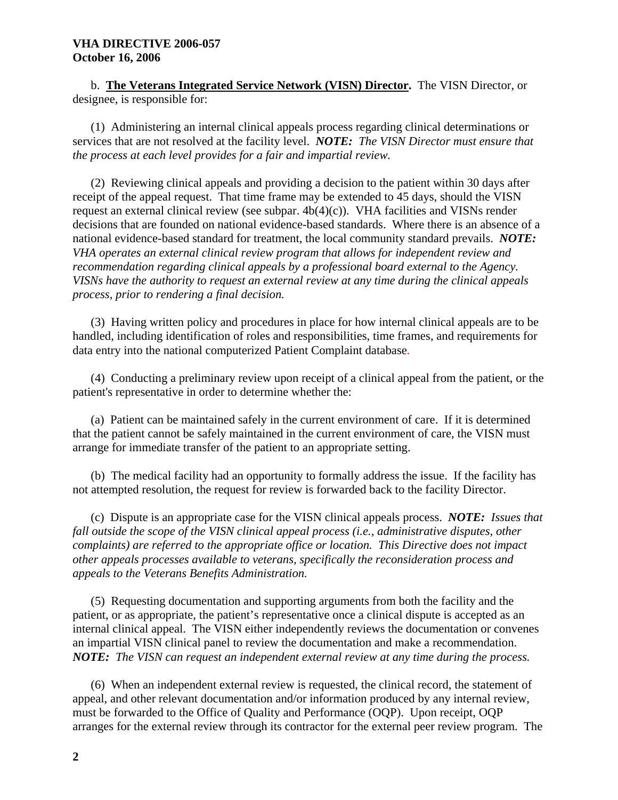## **VHA DIRECTIVE 2006-057 October 16, 2006**

b. **The Veterans Integrated Service Network (VISN) Director.** The VISN Director, or designee, is responsible for:

 (1) Administering an internal clinical appeals process regarding clinical determinations or services that are not resolved at the facility level. *NOTE: The VISN Director must ensure that the process at each level provides for a fair and impartial review.*

(2) Reviewing clinical appeals and providing a decision to the patient within 30 days after receipt of the appeal request. That time frame may be extended to 45 days, should the VISN request an external clinical review (see subpar. 4b(4)(c)). VHA facilities and VISNs render decisions that are founded on national evidence-based standards. Where there is an absence of a national evidence-based standard for treatment, the local community standard prevails. *NOTE: VHA operates an external clinical review program that allows for independent review and recommendation regarding clinical appeals by a professional board external to the Agency. VISNs have the authority to request an external review at any time during the clinical appeals process, prior to rendering a final decision.*

 (3) Having written policy and procedures in place for how internal clinical appeals are to be handled, including identification of roles and responsibilities, time frames, and requirements for data entry into the national computerized Patient Complaint database.

 (4) Conducting a preliminary review upon receipt of a clinical appeal from the patient, or the patient's representative in order to determine whether the:

 (a) Patient can be maintained safely in the current environment of care. If it is determined that the patient cannot be safely maintained in the current environment of care, the VISN must arrange for immediate transfer of the patient to an appropriate setting.

 (b) The medical facility had an opportunity to formally address the issue. If the facility has not attempted resolution, the request for review is forwarded back to the facility Director.

 (c) Dispute is an appropriate case for the VISN clinical appeals process. *NOTE: Issues that fall outside the scope of the VISN clinical appeal process (i.e., administrative disputes, other complaints) are referred to the appropriate office or location. This Directive does not impact other appeals processes available to veterans, specifically the reconsideration process and appeals to the Veterans Benefits Administration.* 

 (5) Requesting documentation and supporting arguments from both the facility and the patient, or as appropriate, the patient's representative once a clinical dispute is accepted as an internal clinical appeal. The VISN either independently reviews the documentation or convenes an impartial VISN clinical panel to review the documentation and make a recommendation. *NOTE: The VISN can request an independent external review at any time during the process.* 

 (6) When an independent external review is requested, the clinical record, the statement of appeal, and other relevant documentation and/or information produced by any internal review, must be forwarded to the Office of Quality and Performance (OQP). Upon receipt, OQP arranges for the external review through its contractor for the external peer review program. The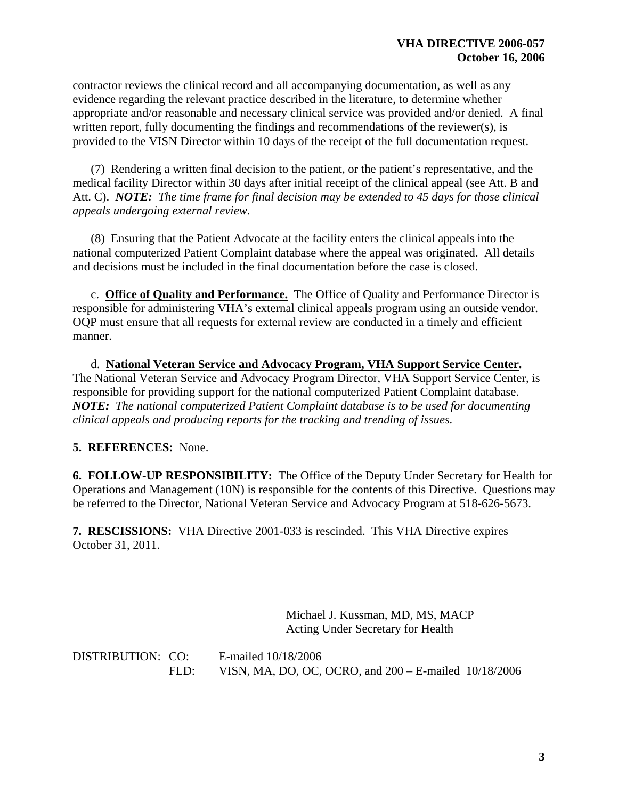contractor reviews the clinical record and all accompanying documentation, as well as any evidence regarding the relevant practice described in the literature, to determine whether appropriate and/or reasonable and necessary clinical service was provided and/or denied. A final written report, fully documenting the findings and recommendations of the reviewer(s), is provided to the VISN Director within 10 days of the receipt of the full documentation request.

 (7) Rendering a written final decision to the patient, or the patient's representative, and the medical facility Director within 30 days after initial receipt of the clinical appeal (see Att. B and Att. C). *NOTE: The time frame for final decision may be extended to 45 days for those clinical appeals undergoing external review.*

 (8) Ensuring that the Patient Advocate at the facility enters the clinical appeals into the national computerized Patient Complaint database where the appeal was originated. All details and decisions must be included in the final documentation before the case is closed.

 c. **Office of Quality and Performance.** The Office of Quality and Performance Director is responsible for administering VHA's external clinical appeals program using an outside vendor. OQP must ensure that all requests for external review are conducted in a timely and efficient manner.

d. **National Veteran Service and Advocacy Program, VHA Support Service Center.**  The National Veteran Service and Advocacy Program Director, VHA Support Service Center, is responsible for providing support for the national computerized Patient Complaint database. *NOTE: The national computerized Patient Complaint database is to be used for documenting clinical appeals and producing reports for the tracking and trending of issues.*

**5. REFERENCES:** None.

**6. FOLLOW-UP RESPONSIBILITY:** The Office of the Deputy Under Secretary for Health for Operations and Management (10N) is responsible for the contents of this Directive. Questions may be referred to the Director, National Veteran Service and Advocacy Program at 518-626-5673.

**7. RESCISSIONS:** VHA Directive 2001-033 is rescinded. This VHA Directive expires October 31, 2011.

> Michael J. Kussman, MD, MS, MACP Acting Under Secretary for Health

DISTRIBUTION: CO: E-mailed 10/18/2006 FLD: VISN, MA, DO, OC, OCRO, and 200 – E-mailed 10/18/2006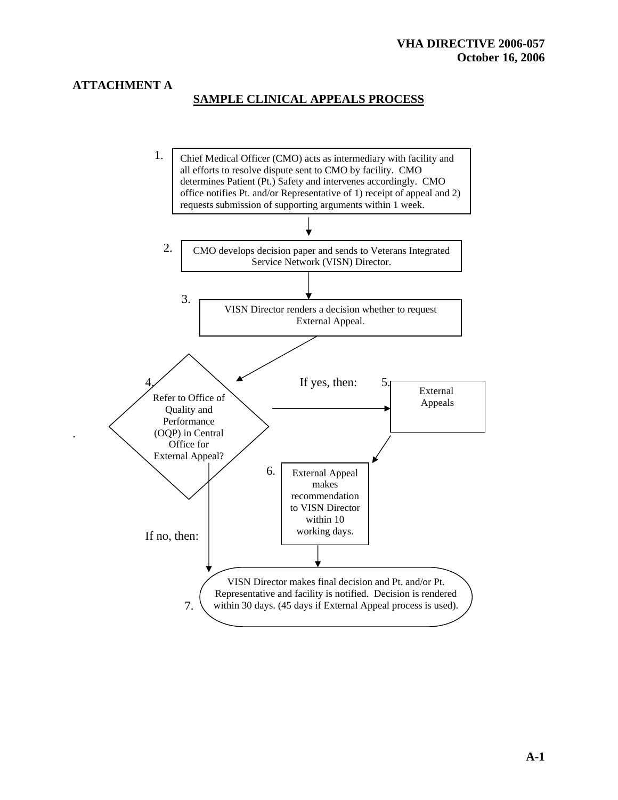# **ATTACHMENT A**

.

# **SAMPLE CLINICAL APPEALS PROCESS**

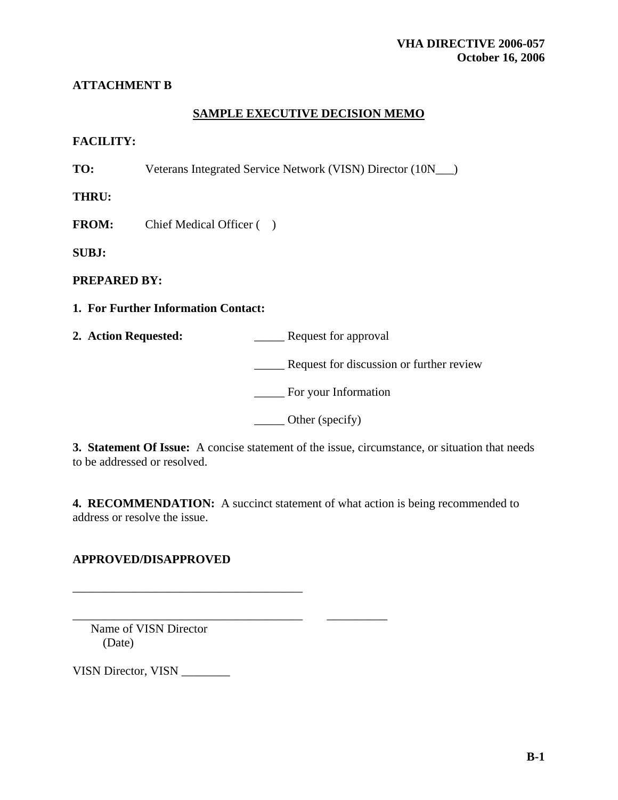# **ATTACHMENT B**

## **SAMPLE EXECUTIVE DECISION MEMO**

## **FACILITY:**

**TO:** Veterans Integrated Service Network (VISN) Director (10N\_\_\_)

**THRU:** 

**FROM:** Chief Medical Officer ( )

**SUBJ:** 

**PREPARED BY:** 

**1. For Further Information Contact:** 

**2. Action Requested:** \_\_\_\_\_ Request for approval

\_\_\_\_\_ Request for discussion or further review

\_\_\_\_\_ For your Information

\_\_\_\_\_ Other (specify)

**3. Statement Of Issue:** A concise statement of the issue, circumstance, or situation that needs to be addressed or resolved.

**4. RECOMMENDATION:** A succinct statement of what action is being recommended to address or resolve the issue.

# **APPROVED/DISAPPROVED**

\_\_\_\_\_\_\_\_\_\_\_\_\_\_\_\_\_\_\_\_\_\_\_\_\_\_\_\_\_\_\_\_\_\_\_\_\_\_

\_\_\_\_\_\_\_\_\_\_\_\_\_\_\_\_\_\_\_\_\_\_\_\_\_\_\_\_\_\_\_\_\_\_\_\_\_\_ \_\_\_\_\_\_\_\_\_\_

 Name of VISN Director (Date)

VISN Director, VISN \_\_\_\_\_\_\_\_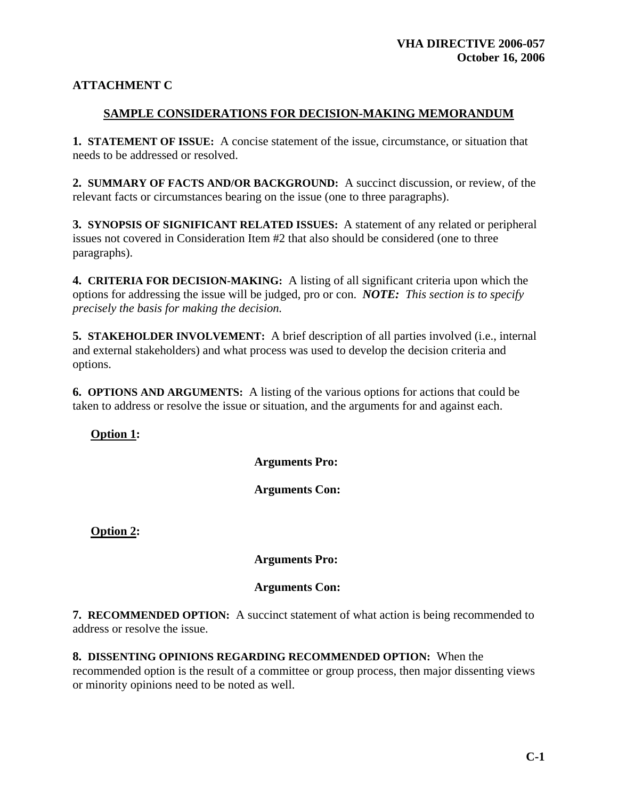# **ATTACHMENT C**

## **SAMPLE CONSIDERATIONS FOR DECISION-MAKING MEMORANDUM**

**1. STATEMENT OF ISSUE:** A concise statement of the issue, circumstance, or situation that needs to be addressed or resolved.

**2. SUMMARY OF FACTS AND/OR BACKGROUND:** A succinct discussion, or review, of the relevant facts or circumstances bearing on the issue (one to three paragraphs).

**3. SYNOPSIS OF SIGNIFICANT RELATED ISSUES:** A statement of any related or peripheral issues not covered in Consideration Item #2 that also should be considered (one to three paragraphs).

**4. CRITERIA FOR DECISION-MAKING:** A listing of all significant criteria upon which the options for addressing the issue will be judged, pro or con. *NOTE: This section is to specify precisely the basis for making the decision.* 

**5. STAKEHOLDER INVOLVEMENT:** A brief description of all parties involved (i.e., internal and external stakeholders) and what process was used to develop the decision criteria and options.

**6. OPTIONS AND ARGUMENTS:** A listing of the various options for actions that could be taken to address or resolve the issue or situation, and the arguments for and against each.

**Option 1:** 

 **Arguments Pro:** 

 **Arguments Con:** 

**Option 2:** 

 **Arguments Pro:** 

 **Arguments Con:** 

**7. RECOMMENDED OPTION:** A succinct statement of what action is being recommended to address or resolve the issue.

**8. DISSENTING OPINIONS REGARDING RECOMMENDED OPTION:** When the recommended option is the result of a committee or group process, then major dissenting views or minority opinions need to be noted as well.